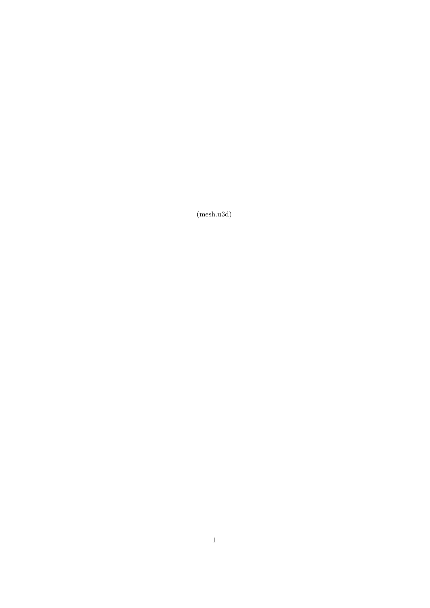(mesh.u3d)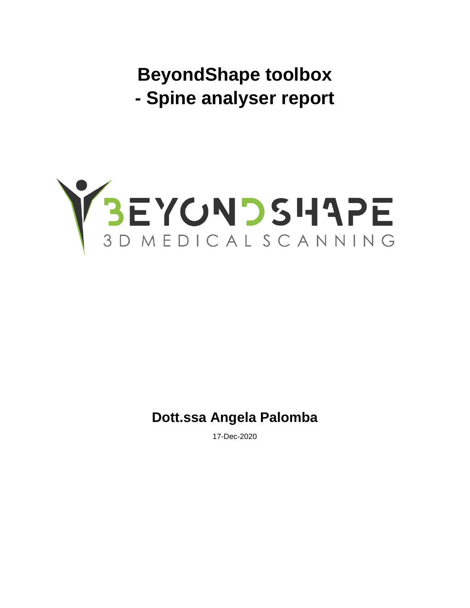**BeyondShape toolbox - Spine analyser report**



**Dott.ssa Angela Palomba**

17-Dec-2020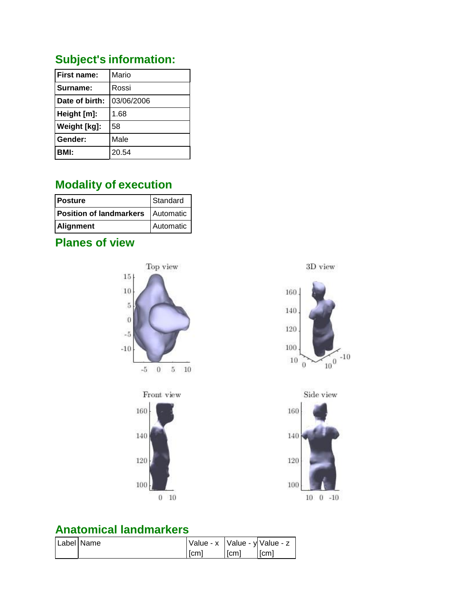#### **Subject's information:**

| Mario      |
|------------|
| Rossi      |
| 03/06/2006 |
| 1.68       |
| 58         |
| Male       |
| 20.54      |
|            |

#### **Modality of execution**

| <b>Posture</b>                      | Standard  |
|-------------------------------------|-----------|
| Position of landmarkers   Automatic |           |
| <b>Alignment</b>                    | Automatic |

#### **Planes of view**



 $10 \t 0 \t -10$ 

#### **Anatomical landmarkers**

| Label Name | $\sqrt{\frac{1}{2}}$ Value - y Value - z |      |      |
|------------|------------------------------------------|------|------|
|            | [cm]                                     | [cm] | [cm] |

 $0 - 10$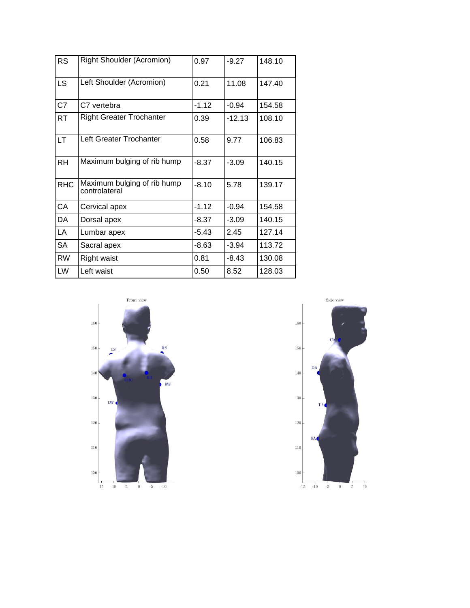| <b>RS</b>  | <b>Right Shoulder (Acromion)</b>             | 0.97    | $-9.27$  | 148.10 |
|------------|----------------------------------------------|---------|----------|--------|
| <b>LS</b>  | Left Shoulder (Acromion)                     | 0.21    | 11.08    | 147.40 |
| C7         | C7 vertebra                                  | $-1.12$ | $-0.94$  | 154.58 |
| RT         | <b>Right Greater Trochanter</b>              | 0.39    | $-12.13$ | 108.10 |
| LT.        | Left Greater Trochanter                      | 0.58    | 9.77     | 106.83 |
| <b>RH</b>  | Maximum bulging of rib hump                  | $-8.37$ | $-3.09$  | 140.15 |
| <b>RHC</b> | Maximum bulging of rib hump<br>controlateral | $-8.10$ | 5.78     | 139.17 |
| CA         | Cervical apex                                | $-1.12$ | $-0.94$  | 154.58 |
| DA         | Dorsal apex                                  | -8.37   | $-3.09$  | 140.15 |
| LA         | Lumbar apex                                  | $-5.43$ | 2.45     | 127.14 |
| <b>SA</b>  | Sacral apex                                  | $-8.63$ | $-3.94$  | 113.72 |
| RW         | <b>Right waist</b>                           | 0.81    | $-8.43$  | 130.08 |
| LW         | Left waist                                   | 0.50    | 8.52     | 128.03 |



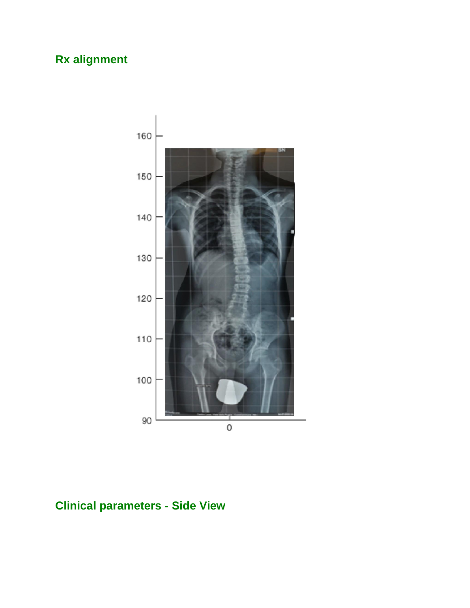## **Rx alignment**



## **Clinical parameters - Side View**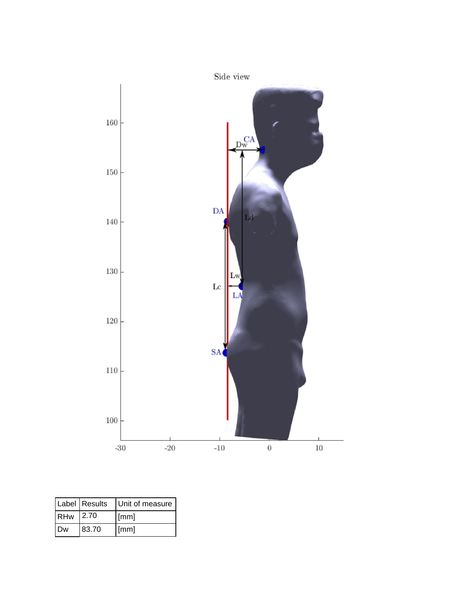

|      | Label Results | Unit of measure      |
|------|---------------|----------------------|
| RHw  | 12.70         | $\lceil$ mm $\rceil$ |
| I Dw | 83.70         | $\lceil$ mm $\rceil$ |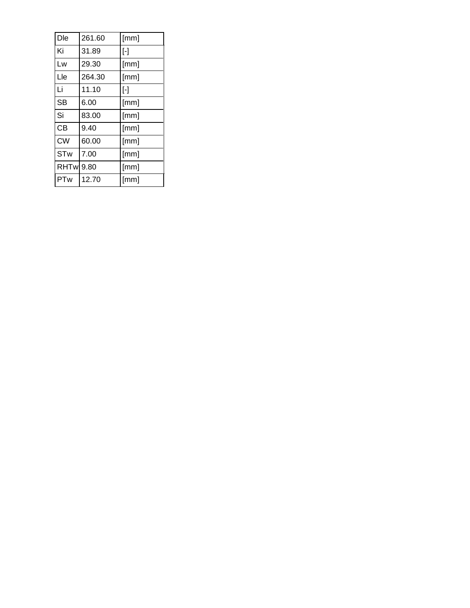| Dle        | 261.60 | [mm]              |
|------------|--------|-------------------|
| Ki         | 31.89  | $[\cdot]$         |
| Lw         | 29.30  | [mm]              |
| Lle        | 264.30 | [mm]              |
| Li         | 11.10  | $\lceil - \rceil$ |
| <b>SB</b>  | 6.00   | [mm]              |
| Si         | 83.00  | [mm]              |
| <b>CB</b>  | 9.40   | [mm]              |
| <b>CW</b>  | 60.00  | [mm]              |
| <b>STw</b> | 7.00   | [mm]              |
| RHTw 9.80  |        | [mm]              |
| PTw        | 12.70  | [mm]              |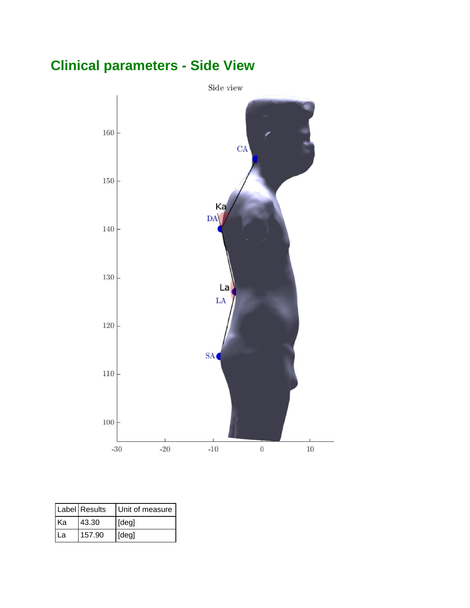# **Clinical parameters - Side View**



|      | Label Results | Unit of measure |
|------|---------------|-----------------|
| l Ka | 43.30         | [deg]           |
| l La | 157.90        | [deg]           |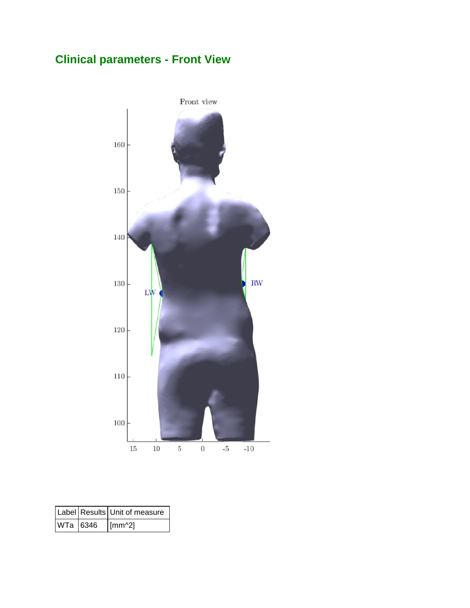# **Clinical parameters - Front View**



|                 | Label Results Unit of measure |
|-----------------|-------------------------------|
| WTa 6346 [mm^2] |                               |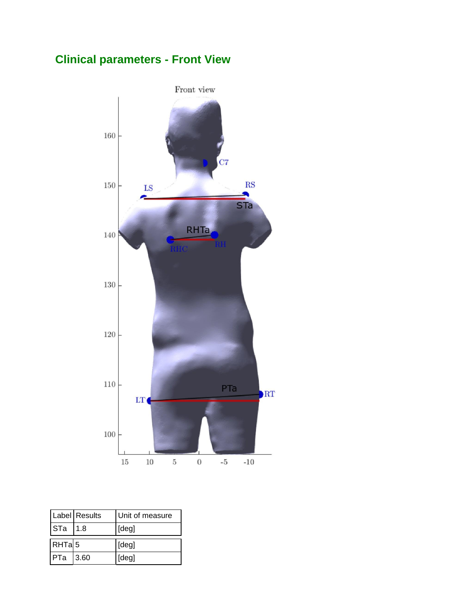### **Clinical parameters - Front View**



|                   | Label Results | Unit of measure |
|-------------------|---------------|-----------------|
| STa               | l 1.8         | [deg]           |
| RHTa <sub>5</sub> |               | [deg]           |
| PTa 3.60          |               | [deg]           |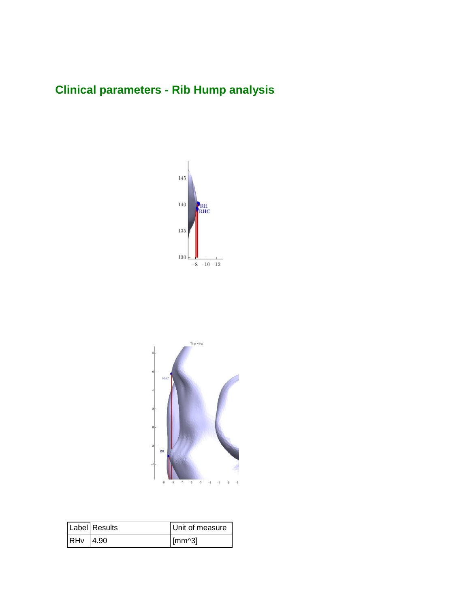### **Clinical parameters - Rib Hump analysis**





|          | Label Results | Unit of measure |
|----------|---------------|-----------------|
| RHv 4.90 |               | $\lceil$ [mm^3] |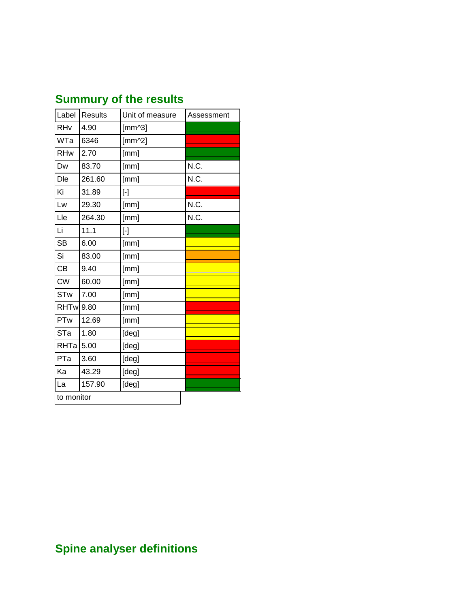| <b>Summury of the results</b> |  |  |  |
|-------------------------------|--|--|--|
|-------------------------------|--|--|--|

| Label       | <b>Results</b> | Unit of measure  | Assessment |
|-------------|----------------|------------------|------------|
| RHv         | 4.90           | $[mm^{\wedge}3]$ |            |
| WTa         | 6346           | $[mm^2]$         |            |
| <b>RHw</b>  | 2.70           | [mm]             |            |
| Dw          | 83.70          | [mm]             | N.C.       |
| Dle         | 261.60         | [mm]             | N.C.       |
| Ki          | 31.89          | $[\cdot]$        |            |
| Lw          | 29.30          | [mm]             | N.C.       |
| Lle         | 264.30         | [mm]             | N.C.       |
| Li          | 11.1           | $[\cdot]$        |            |
| <b>SB</b>   | 6.00           | [mm]             |            |
| Si          | 83.00          | [mm]             |            |
| CB          | 9.40           | [mm]             |            |
| <b>CW</b>   | 60.00          | [mm]             |            |
| <b>STw</b>  | 7.00           | [mm]             |            |
| <b>RHTw</b> | 9.80           | [mm]             |            |
| PTw         | 12.69          | [mm]             |            |
| STa         | 1.80           | [deg]            |            |
| RHTa        | 5.00           | [deg]            |            |
| PTa         | 3.60           | [deg]            |            |
| Ka          | 43.29          | [deg]            |            |
| La          | 157.90         | [deg]            |            |
| to monitor  |                |                  |            |

# **Spine analyser definitions**